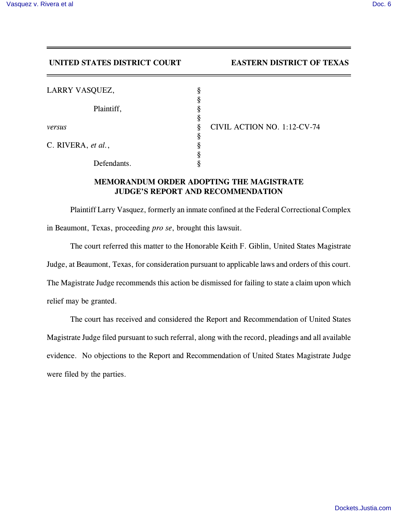## **UNITED STATES DISTRICT COURT EASTERN DISTRICT OF TEXAS**

| LARRY VASQUEZ,     | 8      |  |
|--------------------|--------|--|
| Plaintiff,         | s<br>s |  |
| versus             | s<br>ş |  |
|                    | 8      |  |
| C. RIVERA, et al., |        |  |
| Defendants.        |        |  |

*VIL ACTION NO. 1:12-CV-74* 

## **MEMORANDUM ORDER ADOPTING THE MAGISTRATE JUDGE'S REPORT AND RECOMMENDATION**

Plaintiff Larry Vasquez, formerly an inmate confined at the Federal Correctional Complex in Beaumont, Texas, proceeding *pro se*, brought this lawsuit.

The court referred this matter to the Honorable Keith F. Giblin, United States Magistrate Judge, at Beaumont, Texas, for consideration pursuant to applicable laws and orders of this court. The Magistrate Judge recommends this action be dismissed for failing to state a claim upon which relief may be granted.

The court has received and considered the Report and Recommendation of United States Magistrate Judge filed pursuant to such referral, along with the record, pleadings and all available evidence. No objections to the Report and Recommendation of United States Magistrate Judge were filed by the parties.